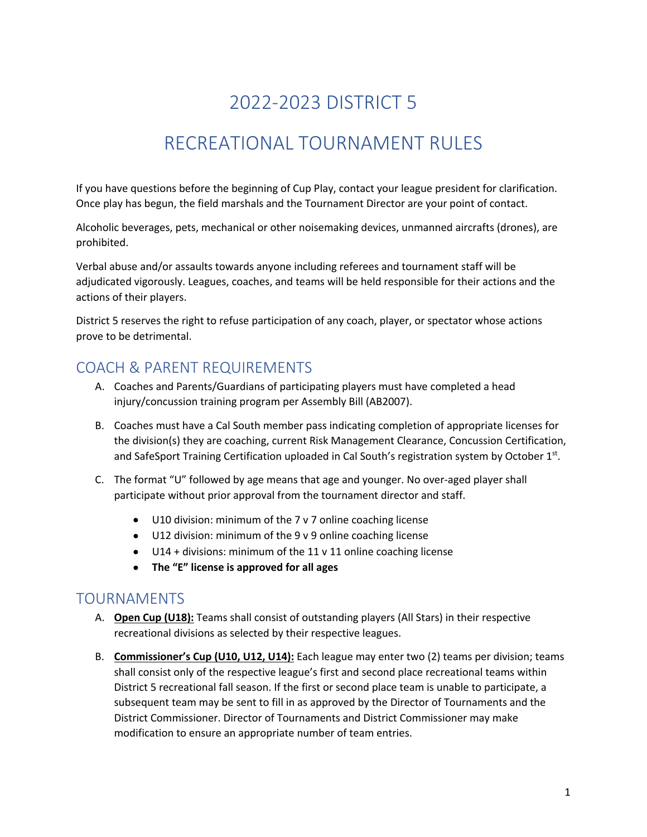# 2022-2023 DISTRICT 5

## RECREATIONAL TOURNAMENT RULES

If you have questions before the beginning of Cup Play, contact your league president for clarification. Once play has begun, the field marshals and the Tournament Director are your point of contact.

Alcoholic beverages, pets, mechanical or other noisemaking devices, unmanned aircrafts (drones), are prohibited.

Verbal abuse and/or assaults towards anyone including referees and tournament staff will be adjudicated vigorously. Leagues, coaches, and teams will be held responsible for their actions and the actions of their players.

District 5 reserves the right to refuse participation of any coach, player, or spectator whose actions prove to be detrimental.

### COACH & PARENT REQUIREMENTS

- A. Coaches and Parents/Guardians of participating players must have completed a head injury/concussion training program per Assembly Bill (AB2007).
- B. Coaches must have a Cal South member pass indicating completion of appropriate licenses for the division(s) they are coaching, current Risk Management Clearance, Concussion Certification, and SafeSport Training Certification uploaded in Cal South's registration system by October 1st.
- C. The format "U" followed by age means that age and younger. No over-aged player shall participate without prior approval from the tournament director and staff.
	- U10 division: minimum of the 7 v 7 online coaching license
	- U12 division: minimum of the 9 v 9 online coaching license
	- U14 + divisions: minimum of the 11 v 11 online coaching license
	- **The "E" license is approved for all ages**

#### TOURNAMENTS

- A. **Open Cup (U18):** Teams shall consist of outstanding players (All Stars) in their respective recreational divisions as selected by their respective leagues.
- B. **Commissioner's Cup (U10, U12, U14):** Each league may enter two (2) teams per division; teams shall consist only of the respective league's first and second place recreational teams within District 5 recreational fall season. If the first or second place team is unable to participate, a subsequent team may be sent to fill in as approved by the Director of Tournaments and the District Commissioner. Director of Tournaments and District Commissioner may make modification to ensure an appropriate number of team entries.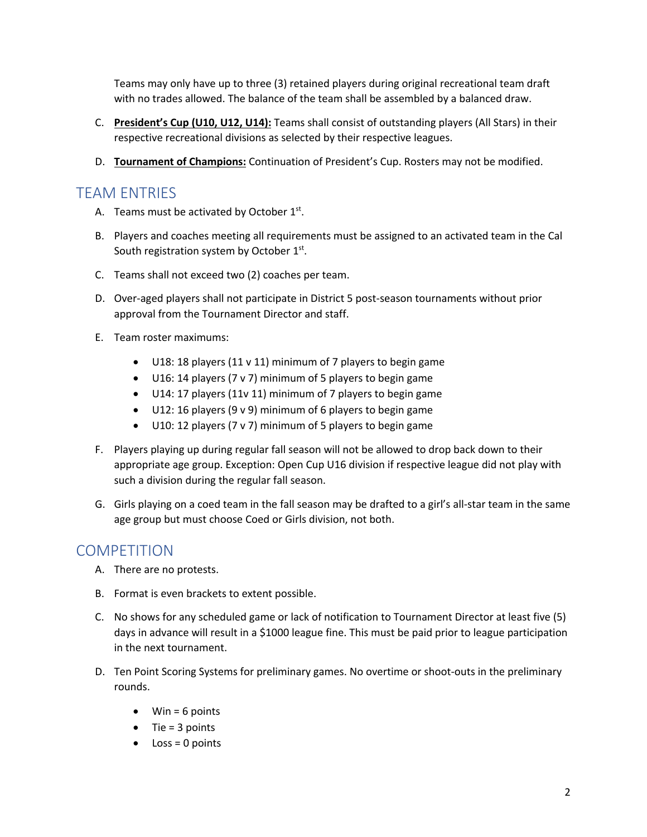Teams may only have up to three (3) retained players during original recreational team draft with no trades allowed. The balance of the team shall be assembled by a balanced draw.

- C. **President's Cup (U10, U12, U14):** Teams shall consist of outstanding players (All Stars) in their respective recreational divisions as selected by their respective leagues.
- D. **Tournament of Champions:** Continuation of President's Cup. Rosters may not be modified.

#### TEAM ENTRIES

- A. Teams must be activated by October  $1<sup>st</sup>$ .
- B. Players and coaches meeting all requirements must be assigned to an activated team in the Cal South registration system by October  $1<sup>st</sup>$ .
- C. Teams shall not exceed two (2) coaches per team.
- D. Over-aged players shall not participate in District 5 post-season tournaments without prior approval from the Tournament Director and staff.
- E. Team roster maximums:
	- U18: 18 players (11 v 11) minimum of 7 players to begin game
	- U16: 14 players (7 v 7) minimum of 5 players to begin game
	- U14: 17 players (11v 11) minimum of 7 players to begin game
	- U12: 16 players (9 v 9) minimum of 6 players to begin game
	- U10: 12 players (7 v 7) minimum of 5 players to begin game
- F. Players playing up during regular fall season will not be allowed to drop back down to their appropriate age group. Exception: Open Cup U16 division if respective league did not play with such a division during the regular fall season.
- G. Girls playing on a coed team in the fall season may be drafted to a girl's all-star team in the same age group but must choose Coed or Girls division, not both.

#### **COMPETITION**

- A. There are no protests.
- B. Format is even brackets to extent possible.
- C. No shows for any scheduled game or lack of notification to Tournament Director at least five (5) days in advance will result in a \$1000 league fine. This must be paid prior to league participation in the next tournament.
- D. Ten Point Scoring Systems for preliminary games. No overtime or shoot-outs in the preliminary rounds.
	- $\bullet$  Win = 6 points
	- $\bullet$  Tie = 3 points
	- $\bullet$  Loss = 0 points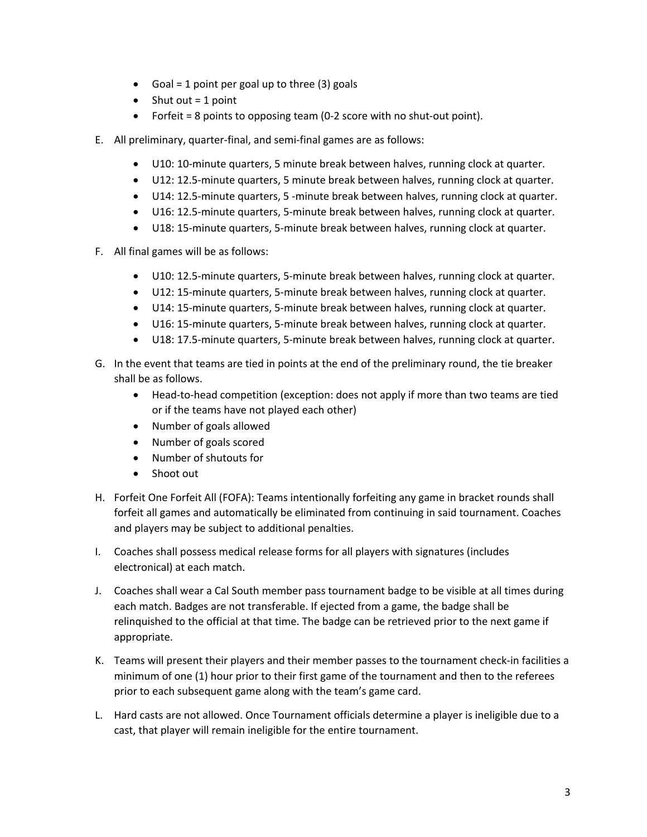- Goal = 1 point per goal up to three  $(3)$  goals
- $\bullet$  Shut out = 1 point
- Forfeit = 8 points to opposing team (0-2 score with no shut-out point).
- E. All preliminary, quarter-final, and semi-final games are as follows:
	- U10: 10-minute quarters, 5 minute break between halves, running clock at quarter.
	- U12: 12.5-minute quarters, 5 minute break between halves, running clock at quarter.
	- U14: 12.5-minute quarters, 5 -minute break between halves, running clock at quarter.
	- U16: 12.5-minute quarters, 5-minute break between halves, running clock at quarter.
	- U18: 15-minute quarters, 5-minute break between halves, running clock at quarter.
- F. All final games will be as follows:
	- U10: 12.5-minute quarters, 5-minute break between halves, running clock at quarter.
	- U12: 15-minute quarters, 5-minute break between halves, running clock at quarter.
	- U14: 15-minute quarters, 5-minute break between halves, running clock at quarter.
	- U16: 15-minute quarters, 5-minute break between halves, running clock at quarter.
	- U18: 17.5-minute quarters, 5-minute break between halves, running clock at quarter.
- G. In the event that teams are tied in points at the end of the preliminary round, the tie breaker shall be as follows.
	- Head-to-head competition (exception: does not apply if more than two teams are tied or if the teams have not played each other)
	- Number of goals allowed
	- Number of goals scored
	- Number of shutouts for
	- Shoot out
- H. Forfeit One Forfeit All (FOFA): Teams intentionally forfeiting any game in bracket rounds shall forfeit all games and automatically be eliminated from continuing in said tournament. Coaches and players may be subject to additional penalties.
- I. Coaches shall possess medical release forms for all players with signatures (includes electronical) at each match.
- J. Coaches shall wear a Cal South member pass tournament badge to be visible at all times during each match. Badges are not transferable. If ejected from a game, the badge shall be relinquished to the official at that time. The badge can be retrieved prior to the next game if appropriate.
- K. Teams will present their players and their member passes to the tournament check-in facilities a minimum of one (1) hour prior to their first game of the tournament and then to the referees prior to each subsequent game along with the team's game card.
- L. Hard casts are not allowed. Once Tournament officials determine a player is ineligible due to a cast, that player will remain ineligible for the entire tournament.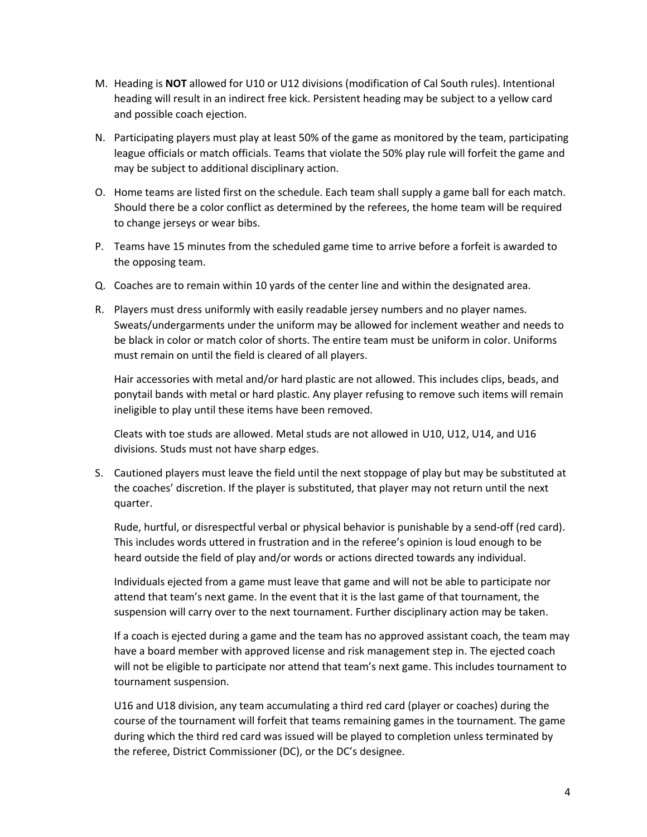- M. Heading is **NOT** allowed for U10 or U12 divisions (modification of Cal South rules). Intentional heading will result in an indirect free kick. Persistent heading may be subject to a yellow card and possible coach ejection.
- N. Participating players must play at least 50% of the game as monitored by the team, participating league officials or match officials. Teams that violate the 50% play rule will forfeit the game and may be subject to additional disciplinary action.
- O. Home teams are listed first on the schedule. Each team shall supply a game ball for each match. Should there be a color conflict as determined by the referees, the home team will be required to change jerseys or wear bibs.
- P. Teams have 15 minutes from the scheduled game time to arrive before a forfeit is awarded to the opposing team.
- Q. Coaches are to remain within 10 yards of the center line and within the designated area.
- R. Players must dress uniformly with easily readable jersey numbers and no player names. Sweats/undergarments under the uniform may be allowed for inclement weather and needs to be black in color or match color of shorts. The entire team must be uniform in color. Uniforms must remain on until the field is cleared of all players.

Hair accessories with metal and/or hard plastic are not allowed. This includes clips, beads, and ponytail bands with metal or hard plastic. Any player refusing to remove such items will remain ineligible to play until these items have been removed.

Cleats with toe studs are allowed. Metal studs are not allowed in U10, U12, U14, and U16 divisions. Studs must not have sharp edges.

S. Cautioned players must leave the field until the next stoppage of play but may be substituted at the coaches' discretion. If the player is substituted, that player may not return until the next quarter.

Rude, hurtful, or disrespectful verbal or physical behavior is punishable by a send-off (red card). This includes words uttered in frustration and in the referee's opinion is loud enough to be heard outside the field of play and/or words or actions directed towards any individual.

Individuals ejected from a game must leave that game and will not be able to participate nor attend that team's next game. In the event that it is the last game of that tournament, the suspension will carry over to the next tournament. Further disciplinary action may be taken.

If a coach is ejected during a game and the team has no approved assistant coach, the team may have a board member with approved license and risk management step in. The ejected coach will not be eligible to participate nor attend that team's next game. This includes tournament to tournament suspension.

U16 and U18 division, any team accumulating a third red card (player or coaches) during the course of the tournament will forfeit that teams remaining games in the tournament. The game during which the third red card was issued will be played to completion unless terminated by the referee, District Commissioner (DC), or the DC's designee.